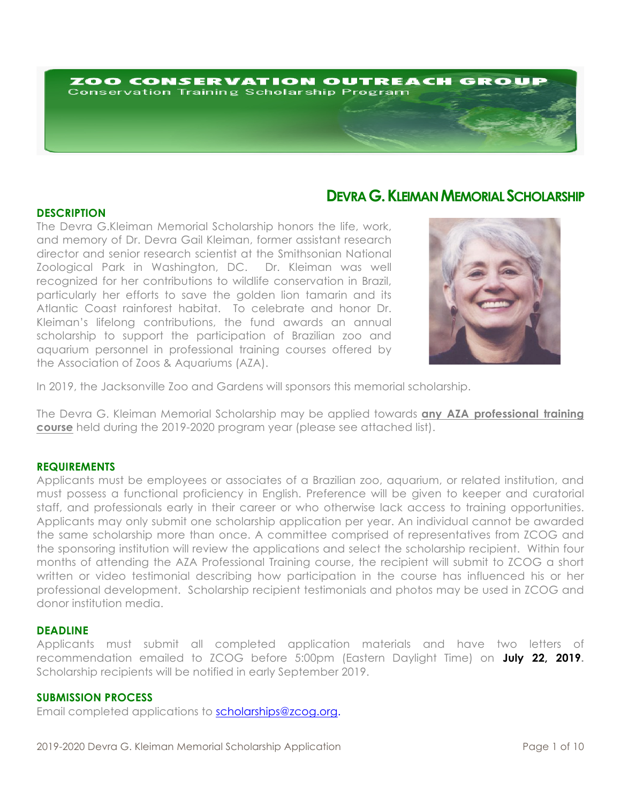# ZOO CONSERVATION OUTREACH GROUP **Conservation Training Scholarship Program**

# **DEVRA G.KLEIMAN MEMORIAL SCHOLARSHIP**

# **DESCRIPTION**

The Devra G.Kleiman Memorial Scholarship honors the life, work, and memory of Dr. Devra Gail Kleiman, former assistant research director and senior research scientist at the Smithsonian National Zoological Park in Washington, DC. Dr. Kleiman was well recognized for her contributions to wildlife conservation in Brazil, particularly her efforts to save the golden lion tamarin and its Atlantic Coast rainforest habitat. To celebrate and honor Dr. Kleiman's lifelong contributions, the fund awards an annual scholarship to support the participation of Brazilian zoo and aquarium personnel in professional training courses offered by the Association of Zoos & Aquariums (AZA).



In 2019, the Jacksonville Zoo and Gardens will sponsors this memorial scholarship.

The Devra G. Kleiman Memorial Scholarship may be applied towards **any AZA professional training course** held during the 2019-2020 program year (please see attached list).

### **REQUIREMENTS**

Applicants must be employees or associates of a Brazilian zoo, aquarium, or related institution, and must possess a functional proficiency in English. Preference will be given to keeper and curatorial staff, and professionals early in their career or who otherwise lack access to training opportunities. Applicants may only submit one scholarship application per year. An individual cannot be awarded the same scholarship more than once. A committee comprised of representatives from ZCOG and the sponsoring institution will review the applications and select the scholarship recipient. Within four months of attending the AZA Professional Training course, the recipient will submit to ZCOG a short written or video testimonial describing how participation in the course has influenced his or her professional development. Scholarship recipient testimonials and photos may be used in ZCOG and donor institution media.

### **DEADLINE**

Applicants must submit all completed application materials and have two letters of recommendation emailed to ZCOG before 5:00pm (Eastern Daylight Time) on **July 22, 2019.** Scholarship recipients will be notified in early September 2019.

# **SUBMISSION PROCESS**

Email completed applications to scholarships@zcog.org.

2019-2020 Devra G. Kleiman Memorial Scholarship Application Page 1 of 10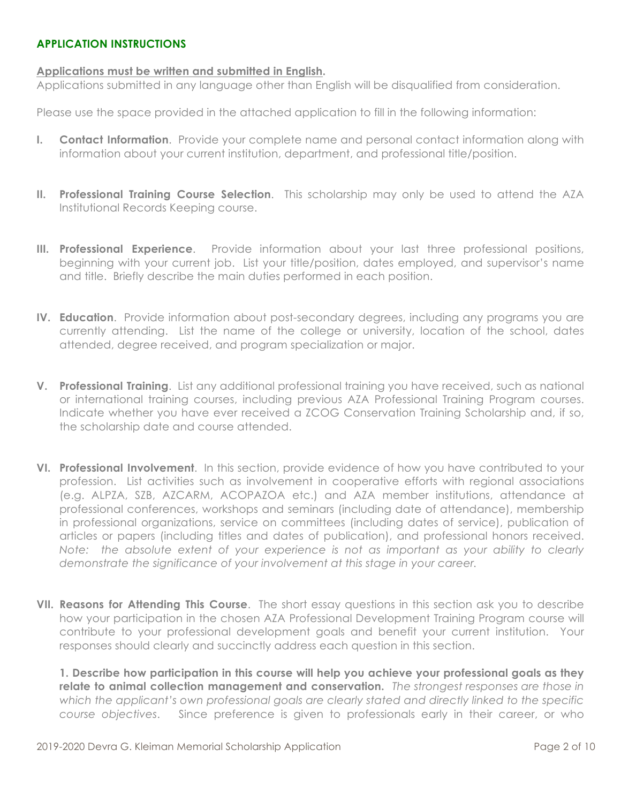# **APPLICATION INSTRUCTIONS**

# **Applications must be written and submitted in English.**

Applications submitted in any language other than English will be disqualified from consideration.

Please use the space provided in the attached application to fill in the following information:

- **I. Contact Information**. Provide your complete name and personal contact information along with information about your current institution, department, and professional title/position.
- **II. Professional Training Course Selection**. This scholarship may only be used to attend the AZA Institutional Records Keeping course.
- **III. Professional Experience**. Provide information about your last three professional positions, beginning with your current job. List your title/position, dates employed, and supervisor's name and title. Briefly describe the main duties performed in each position.
- **IV. Education**. Provide information about post-secondary degrees, including any programs you are currently attending. List the name of the college or university, location of the school, dates attended, degree received, and program specialization or major.
- **V. Professional Training**. List any additional professional training you have received, such as national or international training courses, including previous AZA Professional Training Program courses. Indicate whether you have ever received a ZCOG Conservation Training Scholarship and, if so, the scholarship date and course attended.
- **VI. Professional Involvement**. In this section, provide evidence of how you have contributed to your profession. List activities such as involvement in cooperative efforts with regional associations (e.g. ALPZA, SZB, AZCARM, ACOPAZOA etc.) and AZA member institutions, attendance at professional conferences, workshops and seminars (including date of attendance), membership in professional organizations, service on committees (including dates of service), publication of articles or papers (including titles and dates of publication), and professional honors received. *Note: the absolute extent of your experience is not as important as your ability to clearly demonstrate the significance of your involvement at this stage in your career.*
- **VII. Reasons for Attending This Course**. The short essay questions in this section ask you to describe how your participation in the chosen AZA Professional Development Training Program course will contribute to your professional development goals and benefit your current institution. Your responses should clearly and succinctly address each question in this section.

**1. Describe how participation in this course will help you achieve your professional goals as they relate to animal collection management and conservation.** *The strongest responses are those in which the applicant's own professional goals are clearly stated and directly linked to the specific course objectives*. Since preference is given to professionals early in their career, or who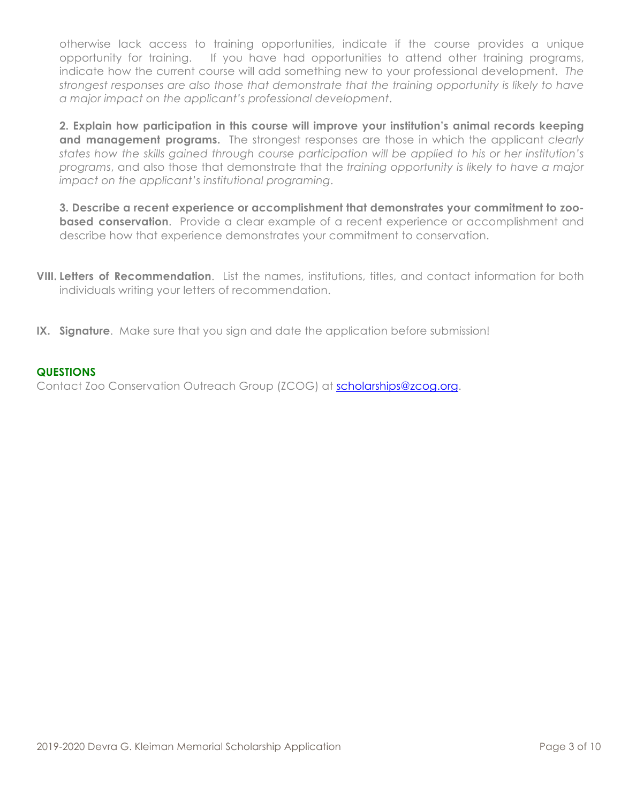otherwise lack access to training opportunities, indicate if the course provides a unique opportunity for training. If you have had opportunities to attend other training programs, indicate how the current course will add something new to your professional development. *The strongest responses are also those that demonstrate that the training opportunity is likely to have a major impact on the applicant's professional development*.

**2. Explain how participation in this course will improve your institution's animal records keeping and management programs.** The strongest responses are those in which the applicant *clearly states how the skills gained through course participation will be applied to his or her institution's programs*, and also those that demonstrate that the *training opportunity is likely to have a major impact on the applicant's institutional programing*.

**3. Describe a recent experience or accomplishment that demonstrates your commitment to zoobased conservation**. Provide a clear example of a recent experience or accomplishment and describe how that experience demonstrates your commitment to conservation.

- **VIII. Letters of Recommendation**. List the names, institutions, titles, and contact information for both individuals writing your letters of recommendation.
- **IX. Signature**. Make sure that you sign and date the application before submission!

# **QUESTIONS**

Contact Zoo Conservation Outreach Group (ZCOG) at scholarships@zcog.org.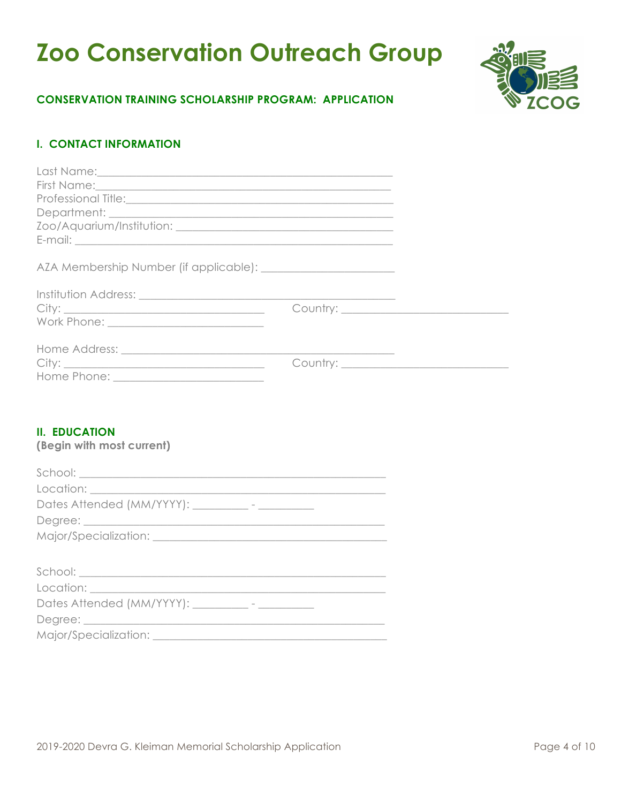# **Zoo Conservation Outreach Group**



# **CONSERVATION TRAINING SCHOLARSHIP PROGRAM: APPLICATION**

# **I. CONTACT INFORMATION**

# **II. EDUCATION**

**(Begin with most current)**

| $\begin{minipage}{.4\linewidth} \textbf{School:} \end{minipage} \vspace{-0.5em} \begin{minipage}{.45\linewidth} \textbf{School:} \end{minipage} \vspace{-0.5em} \begin{minipage}{.45\linewidth} \textbf{0} & \textbf{0} & \textbf{0} & \textbf{0} & \textbf{0} & \textbf{0} & \textbf{0} & \textbf{0} & \textbf{0} & \textbf{0} & \textbf{0} & \textbf{0} & \textbf{0} & \textbf{0} & \textbf{0} & \textbf{0} & \textbf{0} & \textbf{0} & \textbf{0} & \text$ |
|---------------------------------------------------------------------------------------------------------------------------------------------------------------------------------------------------------------------------------------------------------------------------------------------------------------------------------------------------------------------------------------------------------------------------------------------------------------|
|                                                                                                                                                                                                                                                                                                                                                                                                                                                               |
| Dates Attended (MM/YYYY): __________ - __________                                                                                                                                                                                                                                                                                                                                                                                                             |
|                                                                                                                                                                                                                                                                                                                                                                                                                                                               |
|                                                                                                                                                                                                                                                                                                                                                                                                                                                               |
|                                                                                                                                                                                                                                                                                                                                                                                                                                                               |
|                                                                                                                                                                                                                                                                                                                                                                                                                                                               |
|                                                                                                                                                                                                                                                                                                                                                                                                                                                               |
| Dates Attended (MM/YYYY): __________- - __________                                                                                                                                                                                                                                                                                                                                                                                                            |
|                                                                                                                                                                                                                                                                                                                                                                                                                                                               |
|                                                                                                                                                                                                                                                                                                                                                                                                                                                               |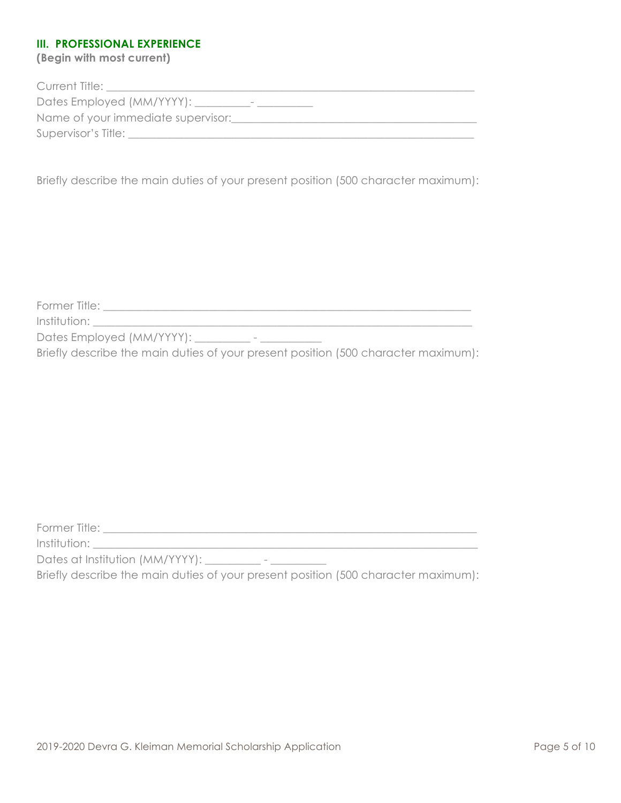# **III. PROFESSIONAL EXPERIENCE**

**(Begin with most current)**

| Current Title:                                   |
|--------------------------------------------------|
| Dates Employed (MM/YYYY): __<br>$\hspace{0.5cm}$ |
| Name of your immediate supervisor:               |
| Supervisor's Title:                              |
|                                                  |

Briefly describe the main duties of your present position (500 character maximum):

Former Title: \_\_\_\_\_\_\_\_\_\_\_\_\_\_\_\_\_\_\_\_\_\_\_\_\_\_\_\_\_\_\_\_\_\_\_\_\_\_\_\_\_\_\_\_\_\_\_\_\_\_\_\_\_\_\_\_\_\_\_\_\_\_\_\_\_\_

 $Institution:$   $\blacksquare$ 

Dates Employed (MM/YYYY): \_\_\_\_\_\_\_\_\_ - \_\_\_\_\_\_\_\_\_\_\_

Briefly describe the main duties of your present position (500 character maximum):

Former Title: \_\_\_\_\_\_\_\_\_\_\_\_\_\_\_\_\_\_\_\_\_\_\_\_\_\_\_\_\_\_\_\_\_\_\_\_\_\_\_\_\_\_\_\_\_\_\_\_\_\_\_\_\_\_\_\_\_\_\_\_\_\_\_\_\_\_\_

Institution: \_\_\_\_\_\_\_\_\_\_\_\_\_\_\_\_\_\_\_\_\_\_\_\_\_\_\_\_\_\_\_\_\_\_\_\_\_\_\_\_\_\_\_\_\_\_\_\_\_\_\_\_\_\_\_\_\_\_\_\_\_\_\_\_\_\_\_\_\_

Dates at Institution (MM/YYYY): \_\_\_\_\_\_\_\_\_\_ - \_\_\_\_\_\_\_\_\_\_

Briefly describe the main duties of your present position (500 character maximum):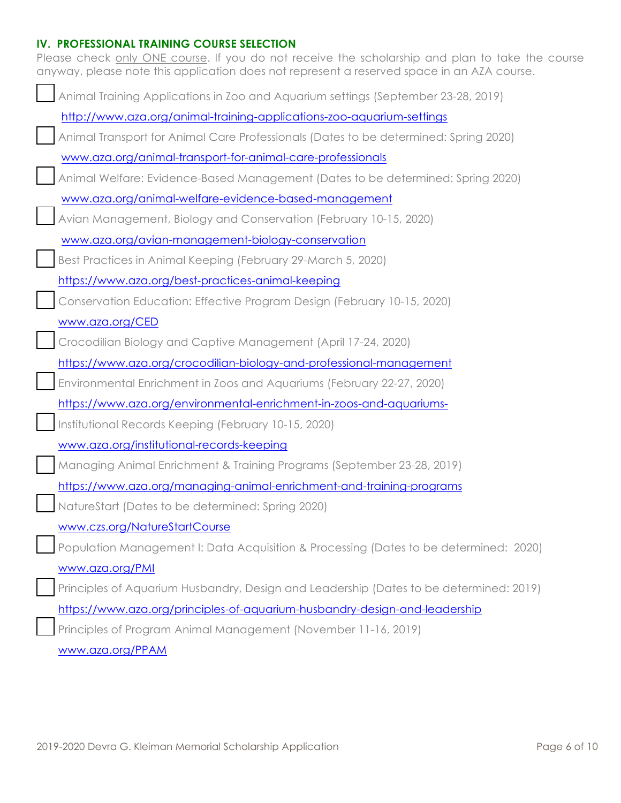# **IV. PROFESSIONAL TRAINING COURSE SELECTION**

| Please check only ONE course. If you do not receive the scholarship and plan to take the course<br>anyway, please note this application does not represent a reserved space in an AZA course. |
|-----------------------------------------------------------------------------------------------------------------------------------------------------------------------------------------------|
| Animal Training Applications in Zoo and Aquarium settings (September 23-28, 2019)                                                                                                             |
| http://www.aza.org/animal-training-applications-zoo-aquarium-settings                                                                                                                         |
| Animal Transport for Animal Care Professionals (Dates to be determined: Spring 2020)                                                                                                          |
| www.aza.org/animal-transport-for-animal-care-professionals                                                                                                                                    |
| Animal Welfare: Evidence-Based Management (Dates to be determined: Spring 2020)                                                                                                               |
| www.aza.org/animal-welfare-evidence-based-management                                                                                                                                          |
| Avian Management, Biology and Conservation (February 10-15, 2020)                                                                                                                             |
| www.aza.org/avian-management-biology-conservation                                                                                                                                             |
| Best Practices in Animal Keeping (February 29-March 5, 2020)                                                                                                                                  |
| https://www.aza.org/best-practices-animal-keeping                                                                                                                                             |
| Conservation Education: Effective Program Design (February 10-15, 2020)                                                                                                                       |
| www.aza.org/CED                                                                                                                                                                               |
| Crocodilian Biology and Captive Management (April 17-24, 2020)                                                                                                                                |
| https://www.aza.org/crocodilian-biology-and-professional-management                                                                                                                           |
| Environmental Enrichment in Zoos and Aquariums (February 22-27, 2020)                                                                                                                         |
| https://www.aza.org/environmental-enrichment-in-zoos-and-aquariums-                                                                                                                           |
| Institutional Records Keeping (February 10-15, 2020)                                                                                                                                          |
| www.aza.org/institutional-records-keeping                                                                                                                                                     |
| Managing Animal Enrichment & Training Programs (September 23-28, 2019)                                                                                                                        |
| https://www.aza.org/managing-animal-enrichment-and-training-programs                                                                                                                          |
| NatureStart (Dates to be determined: Spring 2020)                                                                                                                                             |
| www.czs.org/NatureStartCourse                                                                                                                                                                 |
| Population Management I: Data Acquisition & Processing (Dates to be determined: 2020)                                                                                                         |
| www.aza.org/PMI                                                                                                                                                                               |
| Principles of Aquarium Husbandry, Design and Leadership (Dates to be determined: 2019)                                                                                                        |
| https://www.aza.org/principles-of-aquarium-husbandry-design-and-leadership                                                                                                                    |
| Principles of Program Animal Management (November 11-16, 2019)                                                                                                                                |
| www.aza.org/PPAM                                                                                                                                                                              |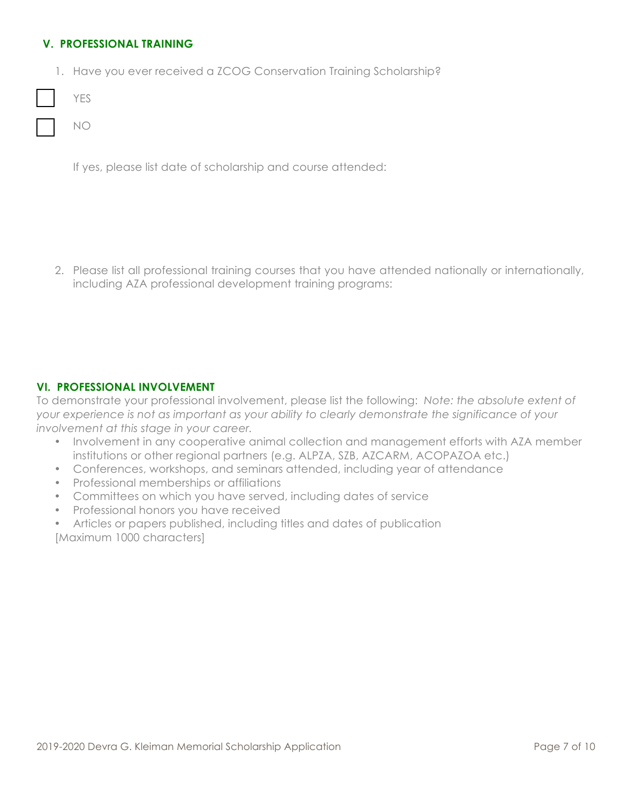# **V. PROFESSIONAL TRAINING**

1. Have you ever received a ZCOG Conservation Training Scholarship?

| ۰.<br>M. |
|----------|
|----------|

NO

If yes, please list date of scholarship and course attended:

2. Please list all professional training courses that you have attended nationally or internationally, including AZA professional development training programs:

# **VI. PROFESSIONAL INVOLVEMENT**

To demonstrate your professional involvement, please list the following: *Note: the absolute extent of your experience is not as important as your ability to clearly demonstrate the significance of your involvement at this stage in your career.* 

- Involvement in any cooperative animal collection and management efforts with AZA member institutions or other regional partners (e.g. ALPZA, SZB, AZCARM, ACOPAZOA etc.)
- Conferences, workshops, and seminars attended, including year of attendance
- Professional memberships or affiliations
- Committees on which you have served, including dates of service
- Professional honors you have received
- Articles or papers published, including titles and dates of publication [Maximum 1000 characters]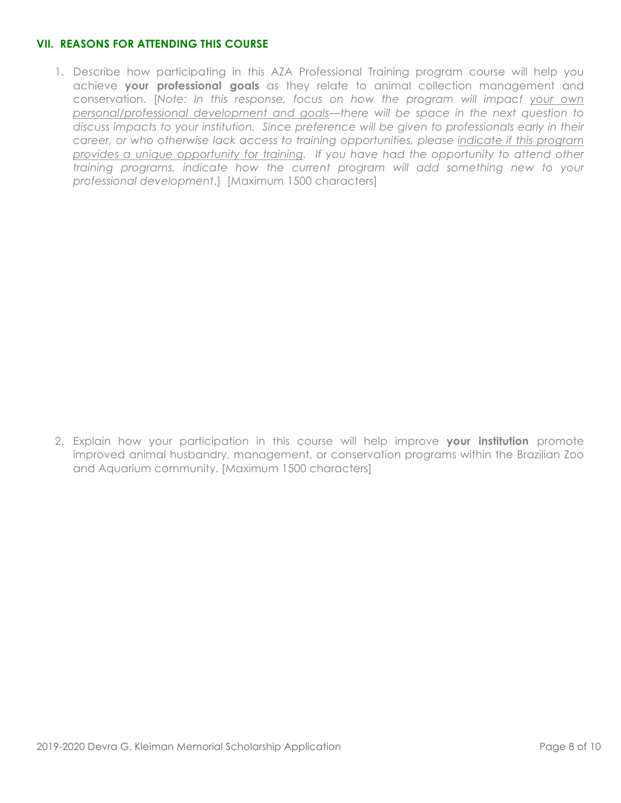# **VII. REASONS FOR ATTENDING THIS COURSE**

1. Describe how participating in this AZA Professional Training program course will help you achieve **your professional goals** as they relate to animal collection management and conservation. [*Note: In this response, focus on how the program will impact your own personal/professional development and goals—there will be space in the next question to discuss impacts to your institution. Since preference will be given to professionals early in their career, or who otherwise lack access to training opportunities, please indicate if this program provides a unique opportunity for training. If you have had the opportunity to attend other training programs, indicate how the current program will add something new to your professional development*.] [Maximum 1500 characters]

2. Explain how your participation in this course will help improve **your institution** promote improved animal husbandry, management, or conservation programs within the Brazilian Zoo and Aquarium community. [Maximum 1500 characters]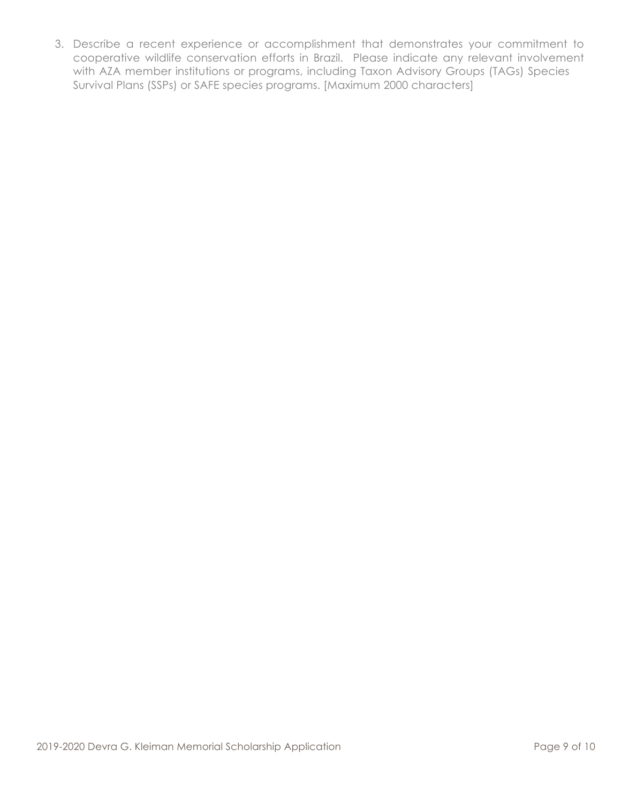3. Describe a recent experience or accomplishment that demonstrates your commitment to cooperative wildlife conservation efforts in Brazil. Please indicate any relevant involvement with AZA member institutions or programs, including Taxon Advisory Groups (TAGs) Species Survival Plans (SSPs) or SAFE species programs. [Maximum 2000 characters]